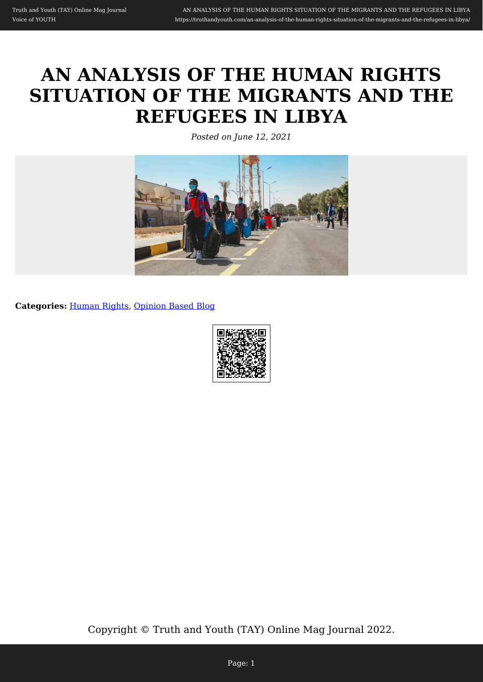# **AN ANALYSIS OF THE HUMAN RIGHTS SITUATION OF THE MIGRANTS AND THE REFUGEES IN LIBYA**

*Posted on June 12, 2021*



**Categories:** [Human Rights,](https://truthandyouth.com/category/human-rights/) [Opinion Based Blog](https://truthandyouth.com/category/opinion-based-blog/)

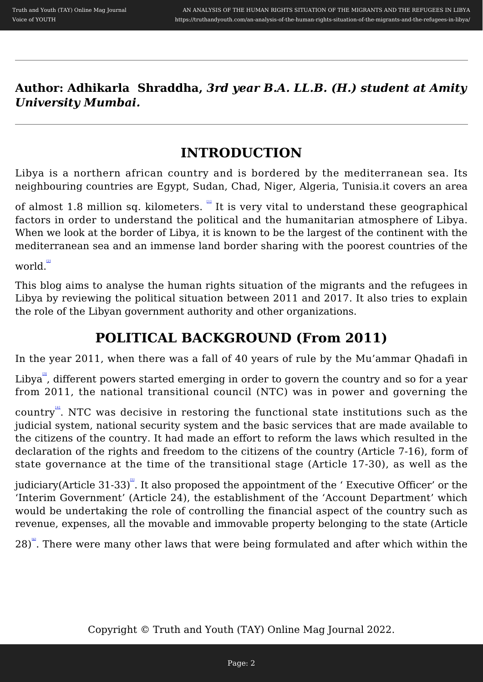**Author: Adhikarla Shraddha,** *3rd year B.A. LL.B. (H.) student at Amity University Mumbai.* 

### **INTRODUCTION**

Libya is a northern african country and is bordered by the mediterranean sea. Its neighbouring countries are Egypt, Sudan, Chad, Niger, Algeria, Tunisia.it covers an area

of almost 1.8 million sq. kilometers.  $\mathbb{I}$  It is very vital to understand these geographical factors in order to understand the political and the humanitarian atmosphere of Libya. When we look at the border of Libya, it is known to be the largest of the continent with the mediterranean sea and an immense land border sharing with the poorest countries of the

world.

This blog aims to analyse the human rights situation of the migrants and the refugees in Libya by reviewing the political situation between 2011 and 2017. It also tries to explain the role of the Libyan government authority and other organizations.

# **POLITICAL BACKGROUND (From 2011)**

In the year 2011, when there was a fall of 40 years of rule by the Mu'ammar Qhadafi in

Libya<sup>"</sup>, different powers started emerging in order to govern the country and so for a year from 2011, the national transitional council (NTC) was in power and governing the

country". NTC was decisive in restoring the functional state institutions such as the judicial system, national security system and the basic services that are made available to the citizens of the country. It had made an effort to reform the laws which resulted in the declaration of the rights and freedom to the citizens of the country (Article 7-16), form of state governance at the time of the transitional stage (Article 17-30), as well as the

judiciary(Article 31-33) $^{\mathbb{S}}.$  It also proposed the appointment of the ' Executive Officer' or the 'Interim Government' (Article 24), the establishment of the 'Account Department' which would be undertaking the role of controlling the financial aspect of the country such as revenue, expenses, all the movable and immovable property belonging to the state (Article

28)<sup>"</sup>. There were many other laws that were being formulated and after which within the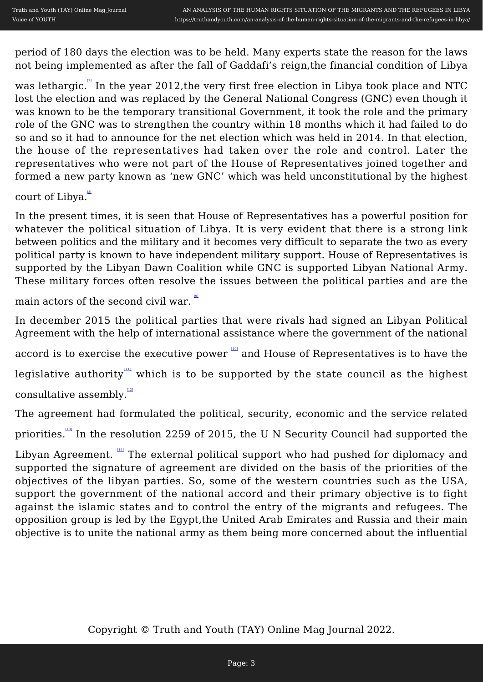period of 180 days the election was to be held. Many experts state the reason for the laws not being implemented as after the fall of Gaddafi's reign,the financial condition of Libya

was lethargic. In the year 2012, the very first free election in Libya took place and NTC lost the election and was replaced by the General National Congress (GNC) even though it was known to be the temporary transitional Government, it took the role and the primary role of the GNC was to strengthen the country within 18 months which it had failed to do so and so it had to announce for the net election which was held in 2014. In that election, the house of the representatives had taken over the role and control. Later the representatives who were not part of the House of Representatives joined together and formed a new party known as 'new GNC' which was held unconstitutional by the highest

court of Libya.

In the present times, it is seen that House of Representatives has a powerful position for whatever the political situation of Libya. It is very evident that there is a strong link between politics and the military and it becomes very difficult to separate the two as every political party is known to have independent military support. House of Representatives is supported by the Libyan Dawn Coalition while GNC is supported Libyan National Army. These military forces often resolve the issues between the political parties and are the

main actors of the second civil war.

In december 2015 the political parties that were rivals had signed an Libyan Political Agreement with the help of international assistance where the government of the national

accord is to exercise the executive power  $\overline{\phantom{a}}$  and House of Representatives is to have the

legislative authority which is to be supported by the state council as the highest consultative assembly.

The agreement had formulated the political, security, economic and the service related

priorities.<sup>[\[13\]](#page--1-0)</sup> In the resolution 2259 of 2015, the U N Security Council had supported the

Libyan Agreement. <sup>[\[14\]](#page--1-0)</sup> The external political support who had pushed for diplomacy and supported the signature of agreement are divided on the basis of the priorities of the objectives of the libyan parties. So, some of the western countries such as the USA, support the government of the national accord and their primary objective is to fight against the islamic states and to control the entry of the migrants and refugees. The opposition group is led by the Egypt,the United Arab Emirates and Russia and their main objective is to unite the national army as them being more concerned about the influential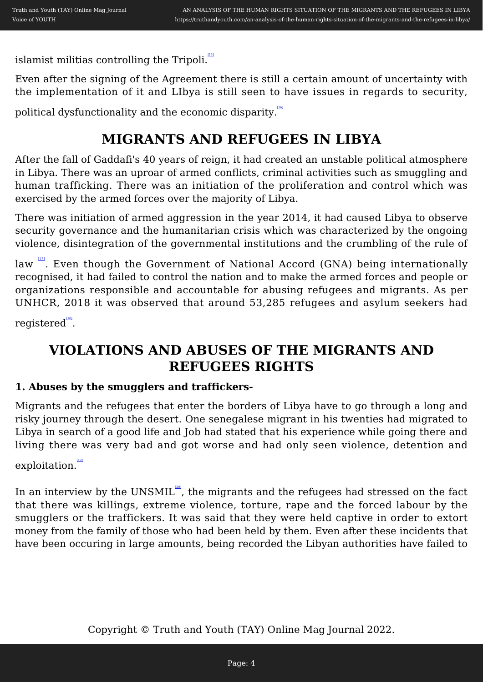islamist militias controlling the Tripoli.

Even after the signing of the Agreement there is still a certain amount of uncertainty with the implementation of it and LIbya is still seen to have issues in regards to security,

political dysfunctionality and the economic disparity.

# **MIGRANTS AND REFUGEES IN LIBYA**

After the fall of Gaddafi's 40 years of reign, it had created an unstable political atmosphere in Libya. There was an uproar of armed conflicts, criminal activities such as smuggling and human trafficking. There was an initiation of the proliferation and control which was exercised by the armed forces over the majority of Libya.

There was initiation of armed aggression in the year 2014, it had caused Libya to observe security governance and the humanitarian crisis which was characterized by the ongoing violence, disintegration of the governmental institutions and the crumbling of the rule of

law <sup>""</sup>. Even though the Government of National Accord (GNA) being internationally recognised, it had failed to control the nation and to make the armed forces and people or organizations responsible and accountable for abusing refugees and migrants. As per UNHCR, 2018 it was observed that around 53,285 refugees and asylum seekers had

 $\mathrm{registered}^\text{\tiny{H8I}}$ .

# **VIOLATIONS AND ABUSES OF THE MIGRANTS AND REFUGEES RIGHTS**

#### **1. Abuses by the smugglers and traffickers-**

Migrants and the refugees that enter the borders of Libya have to go through a long and risky journey through the desert. One senegalese migrant in his twenties had migrated to Libya in search of a good life and Job had stated that his experience while going there and living there was very bad and got worse and had only seen violence, detention and

exploitation.

In an interview by the UNSMIL $\frac{1}{20}$ , the migrants and the refugees had stressed on the fact that there was killings, extreme violence, torture, rape and the forced labour by the smugglers or the traffickers. It was said that they were held captive in order to extort money from the family of those who had been held by them. Even after these incidents that have been occuring in large amounts, being recorded the Libyan authorities have failed to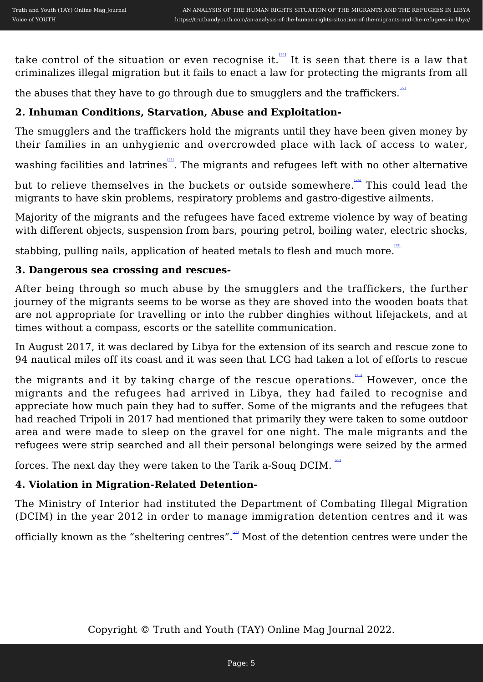take control of the situation or even recognise it. $\mathbb{P}^{\mathfrak{m}}$  It is seen that there is a law that criminalizes illegal migration but it fails to enact a law for protecting the migrants from all

the abuses that they have to go through due to smugglers and the traffickers. $\mathbb{R}^2$ 

#### **2. Inhuman Conditions, Starvation, Abuse and Exploitation-**

The smugglers and the traffickers hold the migrants until they have been given money by their families in an unhygienic and overcrowded place with lack of access to water,

washing facilities and latrines. The migrants and refugees left with no other alternative

but to relieve themselves in the buckets or outside somewhere. In This could lead the migrants to have skin problems, respiratory problems and gastro-digestive ailments.

Majority of the migrants and the refugees have faced extreme violence by way of beating with different objects, suspension from bars, pouring petrol, boiling water, electric shocks,

stabbing, pulling nails, application of heated metals to flesh and much more.

#### **3. Dangerous sea crossing and rescues-**

After being through so much abuse by the smugglers and the traffickers, the further journey of the migrants seems to be worse as they are shoved into the wooden boats that are not appropriate for travelling or into the rubber dinghies without lifejackets, and at times without a compass, escorts or the satellite communication.

In August 2017, it was declared by Libya for the extension of its search and rescue zone to 94 nautical miles off its coast and it was seen that LCG had taken a lot of efforts to rescue

the migrants and it by taking charge of the rescue operations.  $\frac{1261}{120}$  However, once the migrants and the refugees had arrived in Libya, they had failed to recognise and appreciate how much pain they had to suffer. Some of the migrants and the refugees that had reached Tripoli in 2017 had mentioned that primarily they were taken to some outdoor area and were made to sleep on the gravel for one night. The male migrants and the refugees were strip searched and all their personal belongings were seized by the armed

forces. The next day they were taken to the Tarik a-Souq DCIM.

#### **4. Violation in Migration-Related Detention-**

The Ministry of Interior had instituted the Department of Combating Illegal Migration (DCIM) in the year 2012 in order to manage immigration detention centres and it was

officially known as the "sheltering centres". Most of the detention centres were under the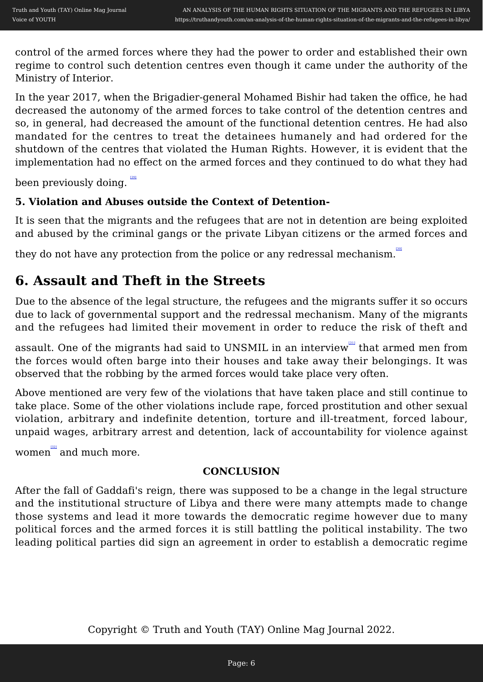control of the armed forces where they had the power to order and established their own regime to control such detention centres even though it came under the authority of the Ministry of Interior.

In the year 2017, when the Brigadier-general Mohamed Bishir had taken the office, he had decreased the autonomy of the armed forces to take control of the detention centres and so, in general, had decreased the amount of the functional detention centres. He had also mandated for the centres to treat the detainees humanely and had ordered for the shutdown of the centres that violated the Human Rights. However, it is evident that the implementation had no effect on the armed forces and they continued to do what they had

been previously doing.

#### **5. Violation and Abuses outside the Context of Detention-**

It is seen that the migrants and the refugees that are not in detention are being exploited and abused by the criminal gangs or the private Libyan citizens or the armed forces and

they do not have any protection from the police or any redressal mechanism.

# **6. Assault and Theft in the Streets**

Due to the absence of the legal structure, the refugees and the migrants suffer it so occurs due to lack of governmental support and the redressal mechanism. Many of the migrants and the refugees had limited their movement in order to reduce the risk of theft and

assault. One of the migrants had said to UNSMIL in an interview that armed men from the forces would often barge into their houses and take away their belongings. It was observed that the robbing by the armed forces would take place very often.

Above mentioned are very few of the violations that have taken place and still continue to take place. Some of the other violations include rape, forced prostitution and other sexual violation, arbitrary and indefinite detention, torture and ill-treatment, forced labour, unpaid wages, arbitrary arrest and detention, lack of accountability for violence against

women and much more.

#### **CONCLUSION**

After the fall of Gaddafi's reign, there was supposed to be a change in the legal structure and the institutional structure of Libya and there were many attempts made to change those systems and lead it more towards the democratic regime however due to many political forces and the armed forces it is still battling the political instability. The two leading political parties did sign an agreement in order to establish a democratic regime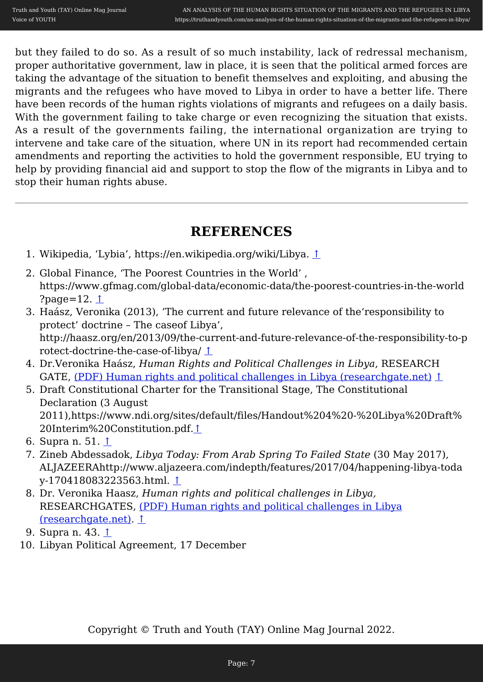but they failed to do so. As a result of so much instability, lack of redressal mechanism, proper authoritative government, law in place, it is seen that the political armed forces are taking the advantage of the situation to benefit themselves and exploiting, and abusing the migrants and the refugees who have moved to Libya in order to have a better life. There have been records of the human rights violations of migrants and refugees on a daily basis. With the government failing to take charge or even recognizing the situation that exists. As a result of the governments failing, the international organization are trying to intervene and take care of the situation, where UN in its report had recommended certain amendments and reporting the activities to hold the government responsible, EU trying to help by providing financial aid and support to stop the flow of the migrants in Libya and to stop their human rights abuse.

# **REFERENCES**

- 1. Wikipedia, 'Lybia', https://en.wikipedia.org/wiki/Libya. [↑](#page--1-0)
- 2. Global Finance, 'The Poorest Countries in the World' , https://www.gfmag.com/global-data/economic-data/the-poorest-countries-in-the-world ?page=12. [↑](#page--1-0)
- 3. Haász, Veronika (2013), 'The current and future relevance of the'responsibility to protect' doctrine – The caseof Libya', http://haasz.org/en/2013/09/the-current-and-future-relevance-of-the-responsibility-to-p rotect-doctrine-the-case-of-libya/ [↑](#page--1-0)
- 4. Dr.Veronika Haász, *Human Rights and Political Challenges in Libya*, RESEARCH GATE, [\(PDF\) Human rights and political challenges in Libya \(researchgate.net\)](https://www.researchgate.net/publication/328829582_Human_rights_and_political_challenges_in_Libya) [↑](#page--1-0)
- 5. Draft Constitutional Charter for the Transitional Stage, The Constitutional Declaration (3 August 2011),https://www.ndi.org/sites/default/files/Handout%204%20-%20Libya%20Draft% 20Interim%20Constitution.pdf.[↑](#page--1-0)
- 6. Supra n. 51. [↑](#page--1-0)
- 7. Zineb Abdessadok, *Libya Today: From Arab Spring To Failed State* (30 May 2017), ALJAZEERAhttp://www.aljazeera.com/indepth/features/2017/04/happening-libya-toda y-170418083223563.html. [↑](#page--1-0)
- 8. Dr. Veronika Haasz, *Human rights and political challenges in Libya,* RESEARCHGATES, [\(PDF\) Human rights and political challenges in Libya](https://www.researchgate.net/publication/328829582_Human_rights_and_political_challenges_in_Libya) [\(researchgate.net\).](https://www.researchgate.net/publication/328829582_Human_rights_and_political_challenges_in_Libya) [↑](#page--1-0)
- 9. Supra n. 43.  $\uparrow$
- 10. Libyan Political Agreement, 17 December